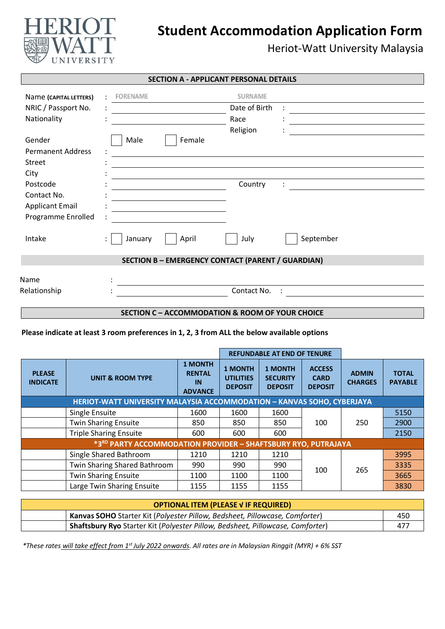

# **Student Accommodation Application Form**

Heriot-Watt University Malaysia

| <b>SECTION A - APPLICANT PERSONAL DETAILS</b> |                 |        |                                                          |           |
|-----------------------------------------------|-----------------|--------|----------------------------------------------------------|-----------|
| Name (CAPITAL LETTERS)                        | <b>FORENAME</b> |        | <b>SURNAME</b>                                           |           |
| NRIC / Passport No.                           |                 |        | Date of Birth                                            |           |
| Nationality                                   |                 |        | Race                                                     |           |
|                                               |                 |        | Religion                                                 |           |
| Gender                                        | Male            | Female |                                                          |           |
| <b>Permanent Address</b>                      |                 |        |                                                          |           |
| Street                                        |                 |        |                                                          |           |
| City                                          |                 |        |                                                          |           |
| Postcode                                      |                 |        | Country                                                  |           |
| Contact No.                                   |                 |        |                                                          |           |
| <b>Applicant Email</b>                        |                 |        |                                                          |           |
| Programme Enrolled                            |                 |        |                                                          |           |
|                                               |                 |        |                                                          |           |
| Intake                                        | January<br>۰.   | April  | July                                                     | September |
|                                               |                 |        |                                                          |           |
|                                               |                 |        | <b>SECTION B - EMERGENCY CONTACT (PARENT / GUARDIAN)</b> |           |
|                                               |                 |        |                                                          |           |
| Name                                          |                 |        |                                                          |           |
| Relationship                                  |                 |        | Contact No.                                              |           |
|                                               |                 |        |                                                          |           |

### **SECTION C – ACCOMMODATION & ROOM OF YOUR CHOICE**

#### **Please indicate at least 3 room preferences in 1, 2, 3 from ALL the below available options**

|                                                                           |                               |                                                                     |                                                      | <b>REFUNDABLE AT END OF TENURE</b>                  |                                                |                                |                                |
|---------------------------------------------------------------------------|-------------------------------|---------------------------------------------------------------------|------------------------------------------------------|-----------------------------------------------------|------------------------------------------------|--------------------------------|--------------------------------|
| <b>PLEASE</b><br><b>INDICATE</b>                                          | <b>UNIT &amp; ROOM TYPE</b>   | <b>1 MONTH</b><br><b>RENTAL</b><br>$\overline{1}$<br><b>ADVANCE</b> | <b>1 MONTH</b><br><b>UTILITIES</b><br><b>DEPOSIT</b> | <b>1 MONTH</b><br><b>SECURITY</b><br><b>DEPOSIT</b> | <b>ACCESS</b><br><b>CARD</b><br><b>DEPOSIT</b> | <b>ADMIN</b><br><b>CHARGES</b> | <b>TOTAL</b><br><b>PAYABLE</b> |
| HERIOT-WATT UNIVERSITY MALAYSIA ACCOMMODATION - KANVAS SOHO, CYBERJAYA    |                               |                                                                     |                                                      |                                                     |                                                |                                |                                |
|                                                                           | Single Ensuite                | 1600                                                                | 1600                                                 | 1600                                                |                                                | 250                            | 5150                           |
|                                                                           | <b>Twin Sharing Ensuite</b>   | 850                                                                 | 850                                                  | 850                                                 | 100                                            |                                | 2900                           |
|                                                                           | <b>Triple Sharing Ensuite</b> | 600                                                                 | 600                                                  | 600                                                 |                                                |                                | 2150                           |
| *3 <sup>RD</sup> PARTY ACCOMMODATION PROVIDER - SHAFTSBURY RYO, PUTRAJAYA |                               |                                                                     |                                                      |                                                     |                                                |                                |                                |
|                                                                           | Single Shared Bathroom        | 1210                                                                | 1210                                                 | 1210                                                |                                                | 265                            | 3995                           |
|                                                                           | Twin Sharing Shared Bathroom  | 990                                                                 | 990                                                  | 990                                                 | 100                                            |                                | 3335                           |
|                                                                           | <b>Twin Sharing Ensuite</b>   | 1100                                                                | 1100                                                 | 1100                                                |                                                |                                | 3665                           |
|                                                                           | Large Twin Sharing Ensuite    | 1155                                                                | 1155                                                 | 1155                                                |                                                |                                | 3830                           |

| <b>OPTIONAL ITEM (PLEASE V IF REQUIRED)</b> |                                                                                |     |  |  |
|---------------------------------------------|--------------------------------------------------------------------------------|-----|--|--|
|                                             | Kanvas SOHO Starter Kit (Polyester Pillow, Bedsheet, Pillowcase, Comforter)    | 450 |  |  |
|                                             | Shaftsbury Ryo Starter Kit (Polyester Pillow, Bedsheet, Pillowcase, Comforter) | 477 |  |  |

 *\*These rates will take effect from 1st July 2022 onwards. All rates are in Malaysian Ringgit (MYR) + 6% SST*